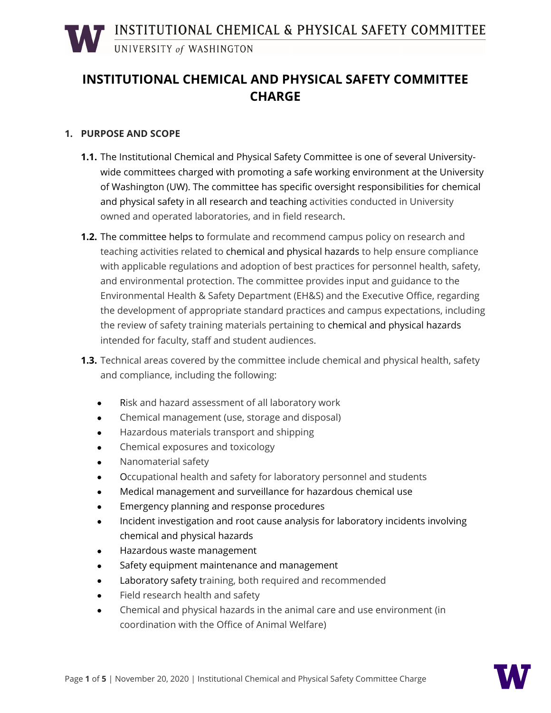### **INSTITUTIONAL CHEMICAL AND PHYSICAL SAFETY COMMITTEE CHARGE**

#### **1. PURPOSE AND SCOPE**

- **1.1.** The Institutional Chemical and Physical Safety Committee is one of several Universitywide committees charged with promoting a safe working environment at the University of Washington (UW). The committee has specific oversight responsibilities for chemical and physical safety in all research and teaching activities conducted in University owned and operated laboratories, and in field research.
- **1.2.** The committee helps to formulate and recommend campus policy on research and teaching activities related to chemical and physical hazards to help ensure compliance with applicable regulations and adoption of best practices for personnel health, safety, and environmental protection. The committee provides input and guidance to the Environmental Health & Safety Department (EH&S) and the Executive Office, regarding the development of appropriate standard practices and campus expectations, including the review of safety training materials pertaining to chemical and physical hazards intended for faculty, staff and student audiences.
- **1.3.** Technical areas covered by the committee include chemical and physical health, safety and compliance, including the following:
	- Risk and hazard assessment of all laboratory work
	- Chemical management (use, storage and disposal)
	- Hazardous materials transport and shipping
	- Chemical exposures and toxicology
	- Nanomaterial safety
	- Occupational health and safety for laboratory personnel and students
	- Medical management and surveillance for hazardous chemical use
	- Emergency planning and response procedures
	- Incident investigation and root cause analysis for laboratory incidents involving chemical and physical hazards
	- Hazardous waste management
	- Safety equipment maintenance and management
	- Laboratory safety training, both required and recommended
	- Field research health and safety
	- Chemical and physical hazards in the animal care and use environment (in coordination with the Office of Animal Welfare)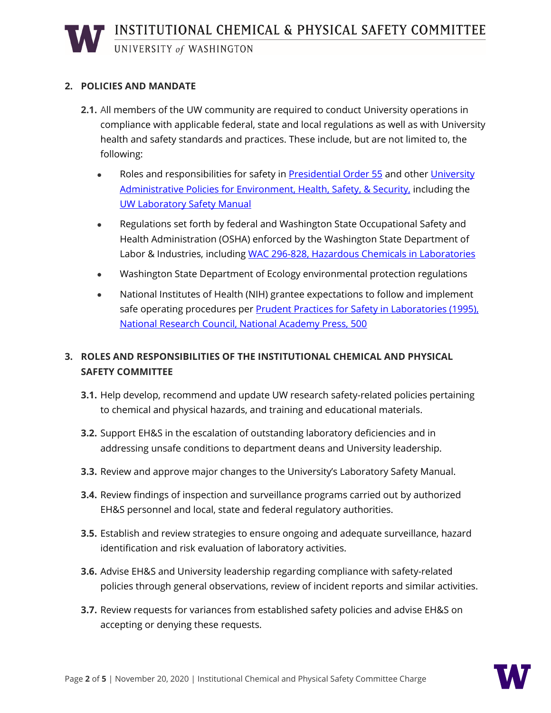# **INSTITUTIONAL CHEMICAL & PHYSICAL SAFETY COMMITTEE**<br>UNIVERSITY of WASHINGTON

#### **2. POLICIES AND MANDATE**

- **2.1.** All members of the UW community are required to conduct University operations in compliance with applicable federal, state and local regulations as well as with University health and safety standards and practices. These include, but are not limited to, the following:
	- Roles and responsibilities for safety in [Presidential Order 55](http://www.washington.edu/admin/rules/policies/PO/EO55.html) and other [University](http://www.washington.edu/admin/rules/policies/APS/TOC10.html) [Administrative Policies for Environment, Health, Safety, & Security,](http://www.washington.edu/admin/rules/policies/APS/TOC10.html) including the [UW Laboratory Safety Manual](https://www.ehs.washington.edu/resource/laboratory-safety-manual-510)
	- Regulations set forth by federal and Washington State Occupational Safety and Health Administration (OSHA) enforced by the Washington State Department of Labor & Industries, including [WAC 296-828, Hazardous Chemicals in Laboratories](http://www.lni.wa.gov/safety/rules/chapter/828/WAC296-828.PDF)
	- Washington State Department of Ecology environmental protection regulations
	- National Institutes of Health (NIH) grantee expectations to follow and implement safe operating procedures per [Prudent Practices for Safety in Laboratories \(1995\),](http://www.nap.edu/catalog/4911.html)  [National Research Council, National Academy Press, 500](http://www.nap.edu/catalog/4911.html)

#### **3. ROLES AND RESPONSIBILITIES OF THE INSTITUTIONAL CHEMICAL AND PHYSICAL SAFETY COMMITTEE**

- **3.1.** Help develop, recommend and update UW research safety-related policies pertaining to chemical and physical hazards, and training and educational materials.
- **3.2.** Support EH&S in the escalation of outstanding laboratory deficiencies and in addressing unsafe conditions to department deans and University leadership.
- **3.3.** Review and approve major changes to the University's Laboratory Safety Manual.
- **3.4.** Review findings of inspection and surveillance programs carried out by authorized EH&S personnel and local, state and federal regulatory authorities.
- **3.5.** Establish and review strategies to ensure ongoing and adequate surveillance, hazard identification and risk evaluation of laboratory activities.
- **3.6.** Advise EH&S and University leadership regarding compliance with safety-related policies through general observations, review of incident reports and similar activities.
- **3.7.** Review requests for variances from established safety policies and advise EH&S on accepting or denying these requests.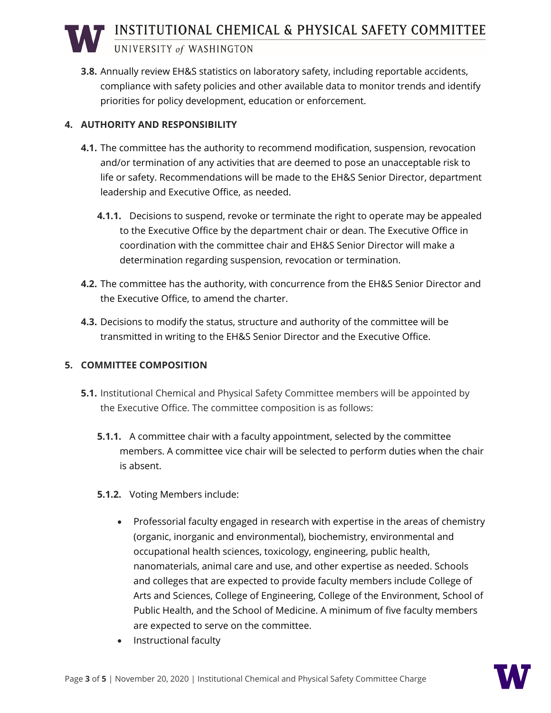INSTITUTIONAL CHEMICAL & PHYSICAL SAFETY COMMITTEE

UNIVERSITY of WASHINGTON

**3.8.** Annually review EH&S statistics on laboratory safety, including reportable accidents, compliance with safety policies and other available data to monitor trends and identify priorities for policy development, education or enforcement.

#### **4. AUTHORITY AND RESPONSIBILITY**

- **4.1.** The committee has the authority to recommend modification, suspension, revocation and/or termination of any activities that are deemed to pose an unacceptable risk to life or safety. Recommendations will be made to the EH&S Senior Director, department leadership and Executive Office, as needed.
	- **4.1.1.** Decisions to suspend, revoke or terminate the right to operate may be appealed to the Executive Office by the department chair or dean. The Executive Office in coordination with the committee chair and EH&S Senior Director will make a determination regarding suspension, revocation or termination.
- **4.2.** The committee has the authority, with concurrence from the EH&S Senior Director and the Executive Office, to amend the charter.
- **4.3.** Decisions to modify the status, structure and authority of the committee will be transmitted in writing to the EH&S Senior Director and the Executive Office.

#### **5. COMMITTEE COMPOSITION**

- **5.1.** Institutional Chemical and Physical Safety Committee members will be appointed by the Executive Office. The committee composition is as follows:
	- **5.1.1.** A committee chair with a faculty appointment, selected by the committee members. A committee vice chair will be selected to perform duties when the chair is absent.
	- **5.1.2.** Voting Members include:
		- Professorial faculty engaged in research with expertise in the areas of chemistry (organic, inorganic and environmental), biochemistry, environmental and occupational health sciences, toxicology, engineering, public health, nanomaterials, animal care and use, and other expertise as needed. Schools and colleges that are expected to provide faculty members include College of Arts and Sciences, College of Engineering, College of the Environment, School of Public Health, and the School of Medicine. A minimum of five faculty members are expected to serve on the committee.
		- Instructional faculty

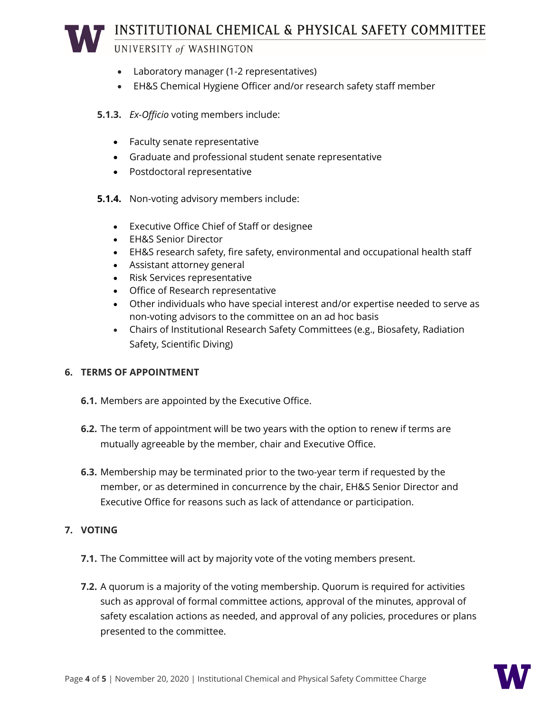## INSTITUTIONAL CHEMICAL & PHYSICAL SAFETY COMMITTEE

#### UNIVERSITY of WASHINGTON

- Laboratory manager (1-2 representatives)
- EH&S Chemical Hygiene Officer and/or research safety staff member

#### **5.1.3.** *Ex-Officio* voting members include:

- Faculty senate representative
- Graduate and professional student senate representative
- Postdoctoral representative
- **5.1.4.** Non-voting advisory members include:
	- Executive Office Chief of Staff or designee
	- EH&S Senior Director
	- EH&S research safety, fire safety, environmental and occupational health staff
	- Assistant attorney general
	- Risk Services representative
	- Office of Research representative
	- Other individuals who have special interest and/or expertise needed to serve as non-voting advisors to the committee on an ad hoc basis
	- Chairs of Institutional Research Safety Committees (e.g., Biosafety, Radiation Safety, Scientific Diving)

#### **6. TERMS OF APPOINTMENT**

- **6.1.** Members are appointed by the Executive Office.
- **6.2.** The term of appointment will be two years with the option to renew if terms are mutually agreeable by the member, chair and Executive Office.
- **6.3.** Membership may be terminated prior to the two-year term if requested by the member, or as determined in concurrence by the chair, EH&S Senior Director and Executive Office for reasons such as lack of attendance or participation.

#### **7. VOTING**

- **7.1.** The Committee will act by majority vote of the voting members present.
- **7.2.** A quorum is a majority of the voting membership. Quorum is required for activities such as approval of formal committee actions, approval of the minutes, approval of safety escalation actions as needed, and approval of any policies, procedures or plans presented to the committee.